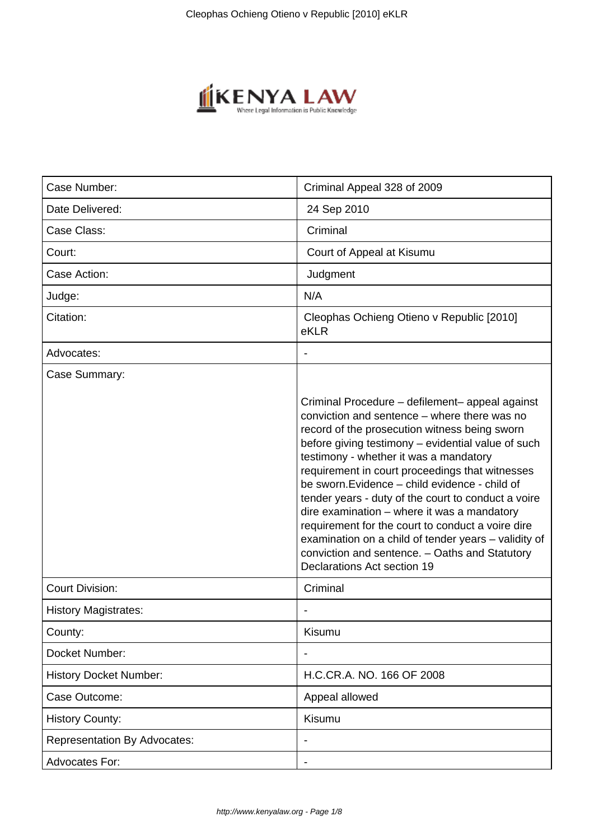

| Case Number:                        | Criminal Appeal 328 of 2009                                                                                                                                                                                                                                                                                                                                                                                                                                                                                                                                                                                                                               |
|-------------------------------------|-----------------------------------------------------------------------------------------------------------------------------------------------------------------------------------------------------------------------------------------------------------------------------------------------------------------------------------------------------------------------------------------------------------------------------------------------------------------------------------------------------------------------------------------------------------------------------------------------------------------------------------------------------------|
| Date Delivered:                     | 24 Sep 2010                                                                                                                                                                                                                                                                                                                                                                                                                                                                                                                                                                                                                                               |
| Case Class:                         | Criminal                                                                                                                                                                                                                                                                                                                                                                                                                                                                                                                                                                                                                                                  |
| Court:                              | Court of Appeal at Kisumu                                                                                                                                                                                                                                                                                                                                                                                                                                                                                                                                                                                                                                 |
| Case Action:                        | Judgment                                                                                                                                                                                                                                                                                                                                                                                                                                                                                                                                                                                                                                                  |
| Judge:                              | N/A                                                                                                                                                                                                                                                                                                                                                                                                                                                                                                                                                                                                                                                       |
| Citation:                           | Cleophas Ochieng Otieno v Republic [2010]<br>eKLR                                                                                                                                                                                                                                                                                                                                                                                                                                                                                                                                                                                                         |
| Advocates:                          |                                                                                                                                                                                                                                                                                                                                                                                                                                                                                                                                                                                                                                                           |
| Case Summary:                       |                                                                                                                                                                                                                                                                                                                                                                                                                                                                                                                                                                                                                                                           |
|                                     | Criminal Procedure – defilement– appeal against<br>conviction and sentence – where there was no<br>record of the prosecution witness being sworn<br>before giving testimony - evidential value of such<br>testimony - whether it was a mandatory<br>requirement in court proceedings that witnesses<br>be sworn. Evidence - child evidence - child of<br>tender years - duty of the court to conduct a voire<br>dire examination - where it was a mandatory<br>requirement for the court to conduct a voire dire<br>examination on a child of tender years - validity of<br>conviction and sentence. - Oaths and Statutory<br>Declarations Act section 19 |
| <b>Court Division:</b>              | Criminal                                                                                                                                                                                                                                                                                                                                                                                                                                                                                                                                                                                                                                                  |
| <b>History Magistrates:</b>         |                                                                                                                                                                                                                                                                                                                                                                                                                                                                                                                                                                                                                                                           |
| County:                             | Kisumu                                                                                                                                                                                                                                                                                                                                                                                                                                                                                                                                                                                                                                                    |
| Docket Number:                      |                                                                                                                                                                                                                                                                                                                                                                                                                                                                                                                                                                                                                                                           |
| <b>History Docket Number:</b>       | H.C.CR.A. NO. 166 OF 2008                                                                                                                                                                                                                                                                                                                                                                                                                                                                                                                                                                                                                                 |
| Case Outcome:                       | Appeal allowed                                                                                                                                                                                                                                                                                                                                                                                                                                                                                                                                                                                                                                            |
| <b>History County:</b>              | Kisumu                                                                                                                                                                                                                                                                                                                                                                                                                                                                                                                                                                                                                                                    |
| <b>Representation By Advocates:</b> |                                                                                                                                                                                                                                                                                                                                                                                                                                                                                                                                                                                                                                                           |
| Advocates For:                      |                                                                                                                                                                                                                                                                                                                                                                                                                                                                                                                                                                                                                                                           |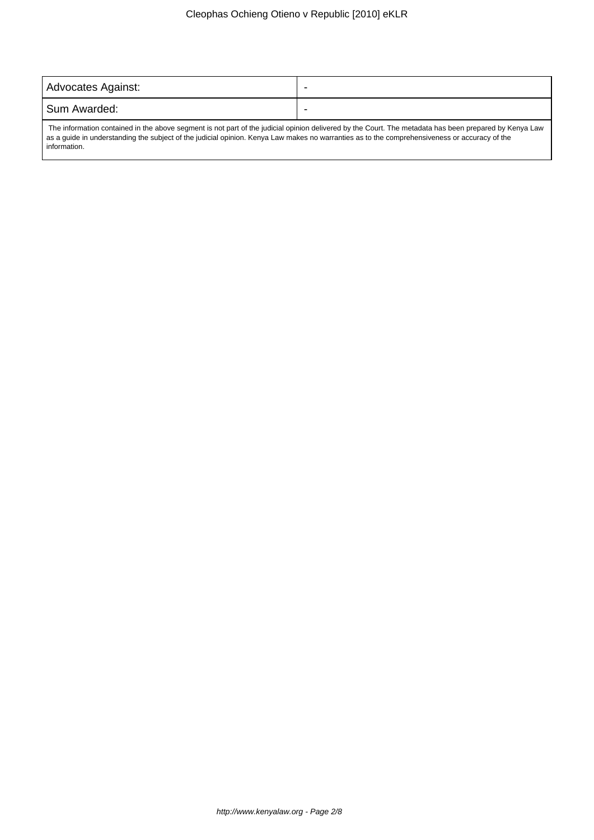| Advocates Against:                                                                                                                                     |  |
|--------------------------------------------------------------------------------------------------------------------------------------------------------|--|
| l Sum Awarded:                                                                                                                                         |  |
| The information contained in the above segment is not part of the judicial opinion delivered by the Court. The metadate has been prepared by Kenya Law |  |

 The information contained in the above segment is not part of the judicial opinion delivered by the Court. The metadata has been prepared by Kenya Law as a guide in understanding the subject of the judicial opinion. Kenya Law makes no warranties as to the comprehensiveness or accuracy of the information.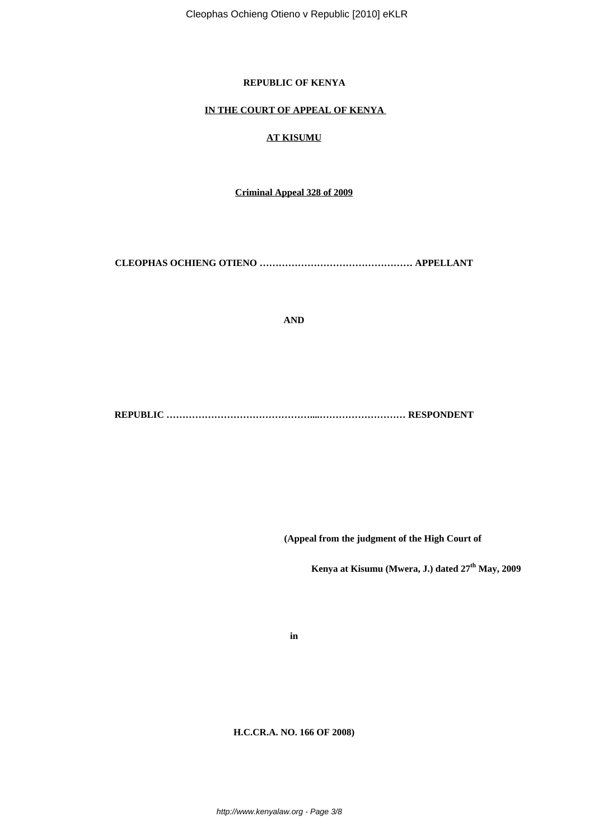# **REPUBLIC OF KENYA**

#### **IN THE COURT OF APPEAL OF KENYA**

## **AT KISUMU**

**Criminal Appeal 328 of 2009**

**CLEOPHAS OCHIENG OTIENO ………………………………………… APPELLANT**

**AND**

**REPUBLIC ………………………………………....……………………… RESPONDENT**

 **(Appeal from the judgment of the High Court of** 

 **Kenya at Kisumu (Mwera, J.) dated 27th May, 2009**

**in**

**H.C.CR.A. NO. 166 OF 2008)**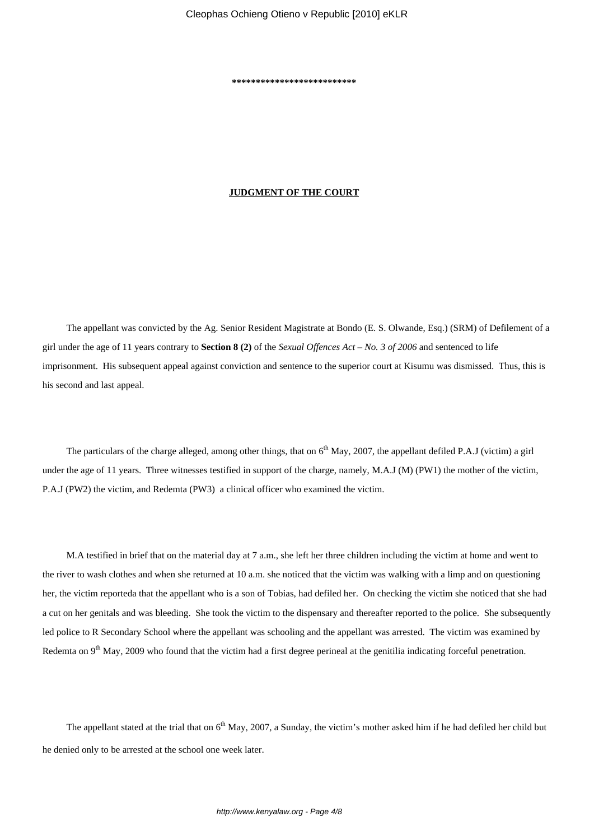**\*\*\*\*\*\*\*\*\*\*\*\*\*\*\*\*\*\*\*\*\*\*\*\*\*\***

#### **JUDGMENT OF THE COURT**

The appellant was convicted by the Ag. Senior Resident Magistrate at Bondo (E. S. Olwande, Esq.) (SRM) of Defilement of a girl under the age of 11 years contrary to **Section 8 (2)** of the *Sexual Offences Act* – *No. 3 of 2006* and sentenced to life imprisonment. His subsequent appeal against conviction and sentence to the superior court at Kisumu was dismissed. Thus, this is his second and last appeal.

The particulars of the charge alleged, among other things, that on  $6<sup>th</sup>$  May, 2007, the appellant defiled P.A.J (victim) a girl under the age of 11 years. Three witnesses testified in support of the charge, namely, M.A.J (M) (PW1) the mother of the victim, P.A.J (PW2) the victim, and Redemta (PW3) a clinical officer who examined the victim.

M.A testified in brief that on the material day at 7 a.m., she left her three children including the victim at home and went to the river to wash clothes and when she returned at 10 a.m. she noticed that the victim was walking with a limp and on questioning her, the victim reporteda that the appellant who is a son of Tobias, had defiled her. On checking the victim she noticed that she had a cut on her genitals and was bleeding. She took the victim to the dispensary and thereafter reported to the police. She subsequently led police to R Secondary School where the appellant was schooling and the appellant was arrested. The victim was examined by Redemta on 9<sup>th</sup> May, 2009 who found that the victim had a first degree perineal at the genitilia indicating forceful penetration.

The appellant stated at the trial that on  $6<sup>th</sup>$  May, 2007, a Sunday, the victim's mother asked him if he had defiled her child but he denied only to be arrested at the school one week later.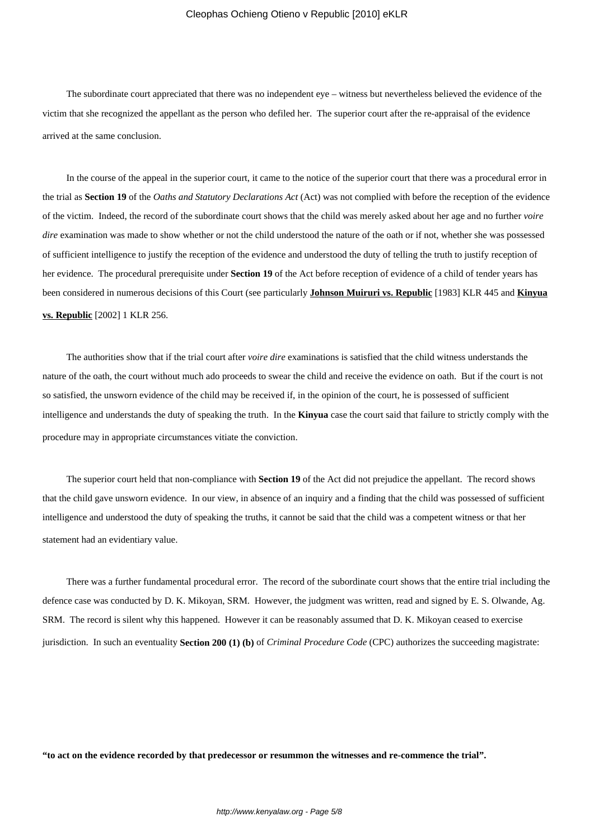The subordinate court appreciated that there was no independent eye – witness but nevertheless believed the evidence of the victim that she recognized the appellant as the person who defiled her. The superior court after the re-appraisal of the evidence arrived at the same conclusion.

In the course of the appeal in the superior court, it came to the notice of the superior court that there was a procedural error in the trial as **Section 19** of the *Oaths and Statutory Declarations Act* (Act) was not complied with before the reception of the evidence of the victim. Indeed, the record of the subordinate court shows that the child was merely asked about her age and no further *voire dire* examination was made to show whether or not the child understood the nature of the oath or if not, whether she was possessed of sufficient intelligence to justify the reception of the evidence and understood the duty of telling the truth to justify reception of her evidence. The procedural prerequisite under **Section 19** of the Act before reception of evidence of a child of tender years has been considered in numerous decisions of this Court (see particularly **Johnson Muiruri vs. Republic** [1983] KLR 445 and **Kinyua vs. Republic** [2002] 1 KLR 256.

The authorities show that if the trial court after *voire dire* examinations is satisfied that the child witness understands the nature of the oath, the court without much ado proceeds to swear the child and receive the evidence on oath. But if the court is not so satisfied, the unsworn evidence of the child may be received if, in the opinion of the court, he is possessed of sufficient intelligence and understands the duty of speaking the truth. In the **Kinyua** case the court said that failure to strictly comply with the procedure may in appropriate circumstances vitiate the conviction.

The superior court held that non-compliance with **Section 19** of the Act did not prejudice the appellant. The record shows that the child gave unsworn evidence. In our view, in absence of an inquiry and a finding that the child was possessed of sufficient intelligence and understood the duty of speaking the truths, it cannot be said that the child was a competent witness or that her statement had an evidentiary value.

There was a further fundamental procedural error. The record of the subordinate court shows that the entire trial including the defence case was conducted by D. K. Mikoyan, SRM. However, the judgment was written, read and signed by E. S. Olwande, Ag. SRM. The record is silent why this happened. However it can be reasonably assumed that D. K. Mikoyan ceased to exercise jurisdiction. In such an eventuality **Section 200 (1) (b)** of *Criminal Procedure Code* (CPC) authorizes the succeeding magistrate:

**"to act on the evidence recorded by that predecessor or resummon the witnesses and re-commence the trial".**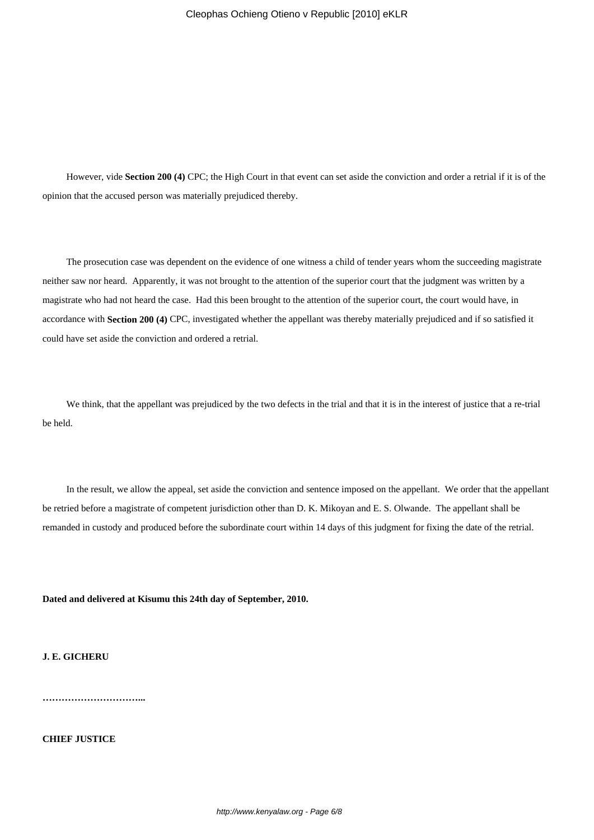However, vide **Section 200 (4)** CPC; the High Court in that event can set aside the conviction and order a retrial if it is of the opinion that the accused person was materially prejudiced thereby.

The prosecution case was dependent on the evidence of one witness a child of tender years whom the succeeding magistrate neither saw nor heard. Apparently, it was not brought to the attention of the superior court that the judgment was written by a magistrate who had not heard the case. Had this been brought to the attention of the superior court, the court would have, in accordance with **Section 200 (4)** CPC, investigated whether the appellant was thereby materially prejudiced and if so satisfied it could have set aside the conviction and ordered a retrial.

We think, that the appellant was prejudiced by the two defects in the trial and that it is in the interest of justice that a re-trial be held.

In the result, we allow the appeal, set aside the conviction and sentence imposed on the appellant. We order that the appellant be retried before a magistrate of competent jurisdiction other than D. K. Mikoyan and E. S. Olwande. The appellant shall be remanded in custody and produced before the subordinate court within 14 days of this judgment for fixing the date of the retrial.

**Dated and delivered at Kisumu this 24th day of September, 2010.**

**J. E. GICHERU**

**…………………………...**

**CHIEF JUSTICE**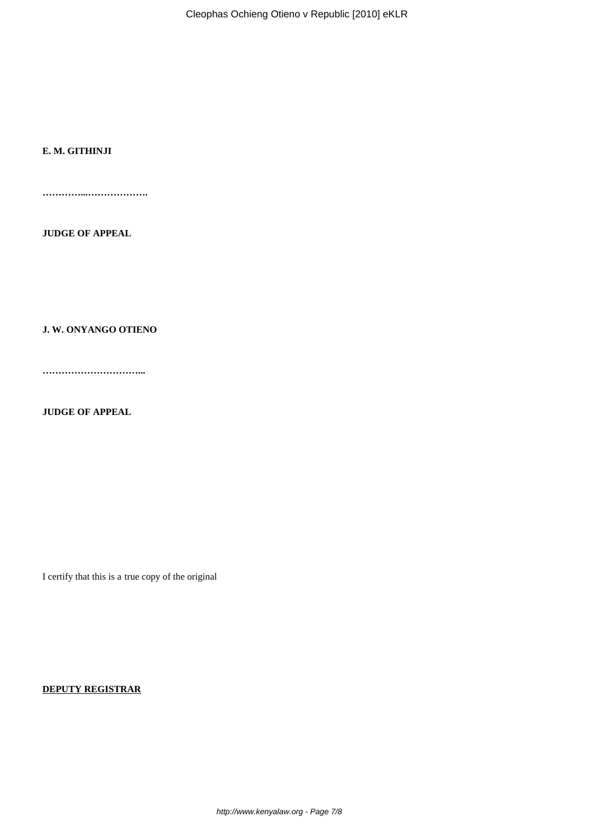Cleophas Ochieng Otieno v Republic [2010] eKLR

## **E. M. GITHINJI**

**…………...……………….**

**JUDGE OF APPEAL**

**J. W. ONYANGO OTIENO**

**…………………………...**

**JUDGE OF APPEAL**

I certify that this is a true copy of the original

**DEPUTY REGISTRAR**